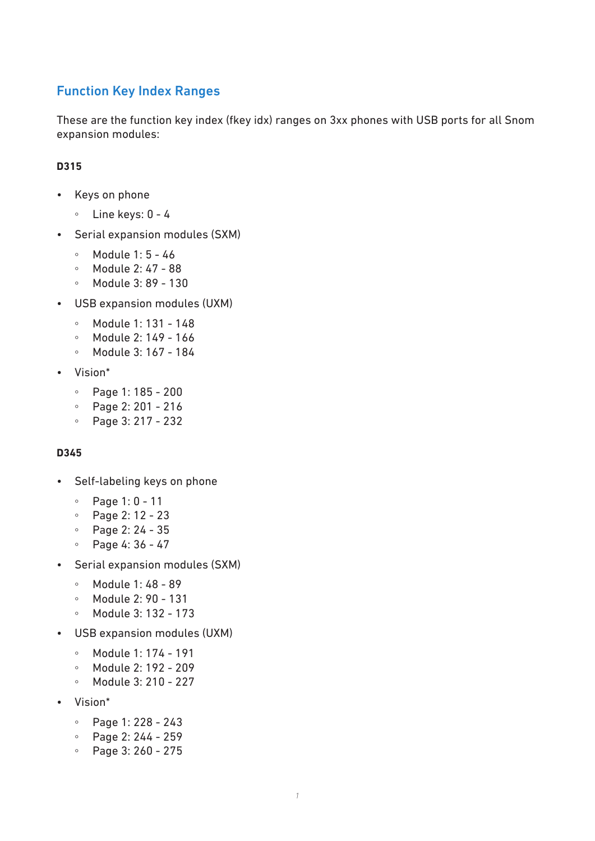# Function Key Index Ranges

These are the function key index (fkey idx) ranges on 3xx phones with USB ports for all Snom expansion modules:

### **D315**

- Keys on phone
	- Line keys: 0 4
- Serial expansion modules (SXM)
	- Module 1: 5 46
	- Module 2: 47 88
	- Module 3: 89 130
- USB expansion modules (UXM)
	- Module 1: 131 148
	- Module 2: 149 166
	- Module 3: 167 184
- Vision\*
	- Page 1: 185 200
	- Page 2: 201 216
	- Page 3: 217 232

#### **D345**

- Self-labeling keys on phone
	- Page 1: 0 11
	- Page 2: 12 23
	- Page 2: 24 35
	- Page 4: 36 47
- Serial expansion modules (SXM)
	- Module 1: 48 89
	- Module 2: 90 131
	- Module 3: 132 173
- USB expansion modules (UXM)
	- Module 1: 174 191
	- Module 2: 192 209
	- Module 3: 210 227
- Vision\*
	- Page 1: 228 243
	- Page 2: 244 259
	- Page 3: 260 275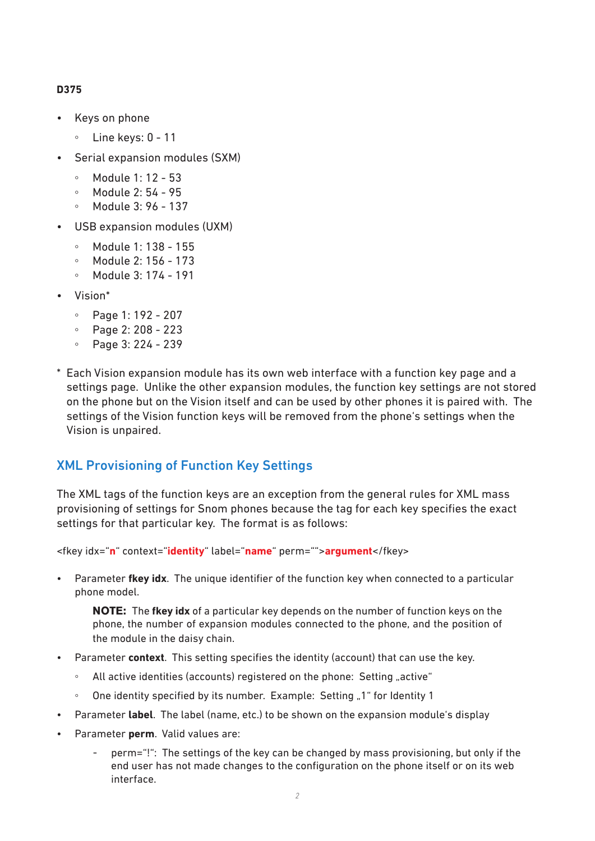#### **D375**

- Keys on phone
	- Line keys: 0 11
- Serial expansion modules (SXM)
	- Module 1: 12 53
	- Module 2: 54 95
	- Module 3: 96 137
- USB expansion modules (UXM)
	- Module 1: 138 155
	- Module 2: 156 173
	- Module 3: 174 191
- Vision\*
	- Page 1: 192 207
	- Page 2: 208 223
	- Page 3: 224 239
- \* Each Vision expansion module has its own web interface with a function key page and a settings page. Unlike the other expansion modules, the function key settings are not stored on the phone but on the Vision itself and can be used by other phones it is paired with. The settings of the Vision function keys will be removed from the phone's settings when the Vision is unpaired.

## XML Provisioning of Function Key Settings

The XML tags of the function keys are an exception from the general rules for XML mass provisioning of settings for Snom phones because the tag for each key specifies the exact settings for that particular key. The format is as follows:

<fkey idx="**n**" context="**identity**" label="**name**" perm="">**argument**</fkey>

• Parameter **fkey idx**. The unique identifier of the function key when connected to a particular phone model.

**NOTE:** The **fkey idx** of a particular key depends on the number of function keys on the phone, the number of expansion modules connected to the phone, and the position of the module in the daisy chain.

- Parameter **context**. This setting specifies the identity (account) that can use the key.
	- All active identities (accounts) registered on the phone: Setting "active"
	- One identity specified by its number. Example: Setting "1" for Identity 1
- Parameter **label**. The label (name, etc.) to be shown on the expansion module's display
- Parameter **perm**. Valid values are:
	- perm="!": The settings of the key can be changed by mass provisioning, but only if the end user has not made changes to the configuration on the phone itself or on its web interface.